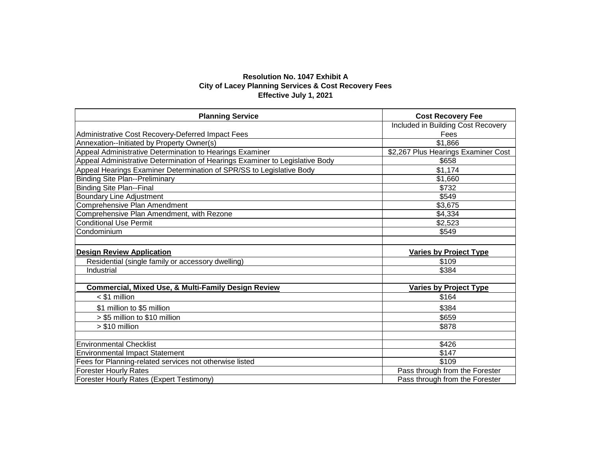## **Resolution No. 1047 Exhibit A City of Lacey Planning Services & Cost Recovery Fees Effective July 1, 2021**

| <b>Planning Service</b>                                                      | <b>Cost Recovery Fee</b>            |  |
|------------------------------------------------------------------------------|-------------------------------------|--|
|                                                                              | Included in Building Cost Recovery  |  |
| Administrative Cost Recovery-Deferred Impact Fees                            | Fees                                |  |
| Annexation--Initiated by Property Owner(s)                                   | \$1,866                             |  |
| Appeal Administrative Determination to Hearings Examiner                     | \$2,267 Plus Hearings Examiner Cost |  |
| Appeal Administrative Determination of Hearings Examiner to Legislative Body | \$658                               |  |
| Appeal Hearings Examiner Determination of SPR/SS to Legislative Body         | \$1,174                             |  |
| <b>Binding Site Plan--Preliminary</b>                                        | \$1,660                             |  |
| <b>Binding Site Plan--Final</b>                                              | \$732                               |  |
| <b>Boundary Line Adjustment</b>                                              | \$549                               |  |
| <b>Comprehensive Plan Amendment</b>                                          | \$3,675                             |  |
| Comprehensive Plan Amendment, with Rezone                                    | \$4,334                             |  |
| <b>Conditional Use Permit</b>                                                | \$2,523                             |  |
| Condominium                                                                  | \$549                               |  |
|                                                                              |                                     |  |
| <b>Design Review Application</b>                                             | <b>Varies by Project Type</b>       |  |
| Residential (single family or accessory dwelling)                            | \$109                               |  |
| Industrial                                                                   | \$384                               |  |
|                                                                              |                                     |  |
| <b>Commercial, Mixed Use, &amp; Multi-Family Design Review</b>               | <b>Varies by Project Type</b>       |  |
| $<$ \$1 million                                                              | \$164                               |  |
| \$1 million to \$5 million                                                   | \$384                               |  |
| > \$5 million to \$10 million                                                | \$659                               |  |
| $> $10$ million                                                              | \$878                               |  |
|                                                                              |                                     |  |
| <b>Environmental Checklist</b>                                               | \$426                               |  |
| <b>Environmental Impact Statement</b>                                        | \$147                               |  |
| Fees for Planning-related services not otherwise listed                      | \$109                               |  |
| <b>Forester Hourly Rates</b>                                                 | Pass through from the Forester      |  |
| <b>Forester Hourly Rates (Expert Testimony)</b>                              | Pass through from the Forester      |  |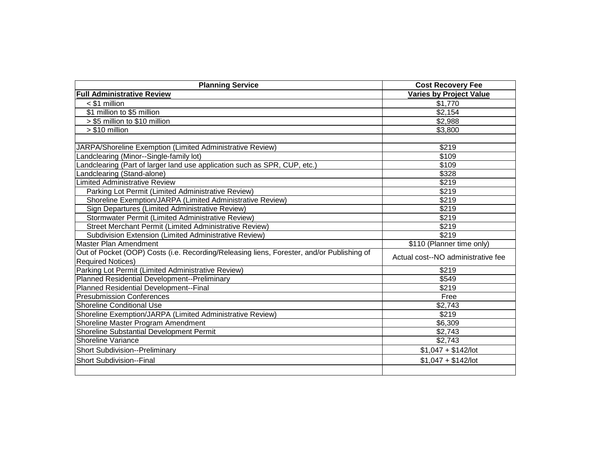| <b>Planning Service</b>                                                                   | <b>Cost Recovery Fee</b>           |
|-------------------------------------------------------------------------------------------|------------------------------------|
| <b>Full Administrative Review</b>                                                         | <b>Varies by Project Value</b>     |
| $<$ \$1 million                                                                           | \$1,770                            |
| \$1 million to \$5 million                                                                | \$2,154                            |
| > \$5 million to \$10 million                                                             | \$2,988                            |
| > \$10 million                                                                            | \$3,800                            |
|                                                                                           | \$219                              |
| JARPA/Shoreline Exemption (Limited Administrative Review)                                 | \$109                              |
| Landclearing (Minor--Single-family lot)                                                   |                                    |
| Landclearing (Part of larger land use application such as SPR, CUP, etc.)                 | \$109                              |
| Landclearing (Stand-alone)                                                                | \$328                              |
| <b>Limited Administrative Review</b>                                                      | \$219                              |
| Parking Lot Permit (Limited Administrative Review)                                        | \$219                              |
| Shoreline Exemption/JARPA (Limited Administrative Review)                                 | \$219                              |
| Sign Departures (Limited Administrative Review)                                           | \$219                              |
| Stormwater Permit (Limited Administrative Review)                                         | \$219                              |
| Street Merchant Permit (Limited Administrative Review)                                    | \$219                              |
| Subdivision Extension (Limited Administrative Review)                                     | \$219                              |
| Master Plan Amendment                                                                     | \$110 (Planner time only)          |
| Out of Pocket (OOP) Costs (i.e. Recording/Releasing liens, Forester, and/or Publishing of | Actual cost--NO administrative fee |
| <b>Required Notices)</b>                                                                  |                                    |
| Parking Lot Permit (Limited Administrative Review)                                        | \$219                              |
| Planned Residential Development--Preliminary                                              | \$549                              |
| Planned Residential Development--Final                                                    | \$219                              |
| <b>Presubmission Conferences</b>                                                          | Free                               |
| <b>Shoreline Conditional Use</b>                                                          | \$2,743                            |
| Shoreline Exemption/JARPA (Limited Administrative Review)                                 | \$219                              |
| Shoreline Master Program Amendment                                                        | \$6,309                            |
| Shoreline Substantial Development Permit                                                  | \$2,743                            |
| <b>Shoreline Variance</b>                                                                 | \$2,743                            |
| <b>Short Subdivision--Preliminary</b>                                                     | $$1,047 + $142$ /lot               |
| <b>Short Subdivision--Final</b>                                                           | $$1,047 + $142$ /lot               |
|                                                                                           |                                    |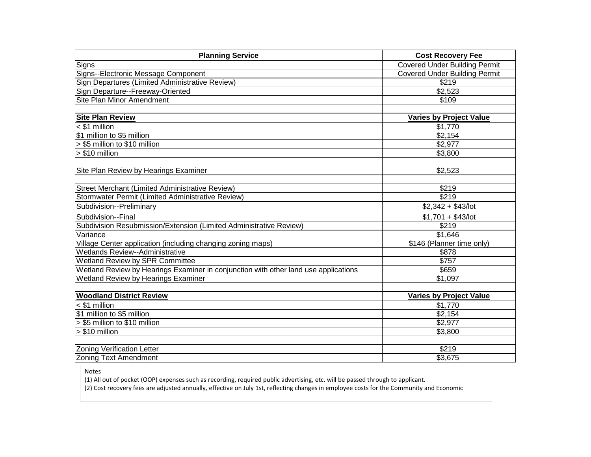| <b>Planning Service</b>                                                             | <b>Cost Recovery Fee</b>             |
|-------------------------------------------------------------------------------------|--------------------------------------|
| Signs                                                                               | <b>Covered Under Building Permit</b> |
| Signs--Electronic Message Component                                                 | <b>Covered Under Building Permit</b> |
| Sign Departures (Limited Administrative Review)                                     | \$219                                |
| Sign Departure--Freeway-Oriented                                                    | \$2,523                              |
| <b>Site Plan Minor Amendment</b>                                                    | \$109                                |
|                                                                                     |                                      |
| <b>Site Plan Review</b>                                                             | <b>Varies by Project Value</b>       |
| $<$ \$1 million                                                                     | \$1,770                              |
| \$1 million to \$5 million                                                          | \$2,154                              |
| > \$5 million to \$10 million                                                       | \$2,977                              |
| $> $10$ million                                                                     | \$3,800                              |
|                                                                                     |                                      |
| Site Plan Review by Hearings Examiner                                               | \$2,523                              |
|                                                                                     |                                      |
| <b>Street Merchant (Limited Administrative Review)</b>                              | \$219                                |
| Stormwater Permit (Limited Administrative Review)                                   | \$219                                |
| Subdivision--Preliminary                                                            | $$2,342 + $43/lot$                   |
| Subdivision--Final                                                                  | $$1,701 + $43/$ lot                  |
| Subdivision Resubmission/Extension (Limited Administrative Review)                  | \$219                                |
| Variance                                                                            | \$1,646                              |
| Village Center application (including changing zoning maps)                         | \$146 (Planner time only)            |
| <b>Wetlands Review--Administrative</b>                                              | \$878                                |
| Wetland Review by SPR Committee                                                     | \$757                                |
| Wetland Review by Hearings Examiner in conjunction with other land use applications | \$659                                |
| Wetland Review by Hearings Examiner                                                 | \$1,097                              |
|                                                                                     |                                      |
| <b>Woodland District Review</b>                                                     | <b>Varies by Project Value</b>       |
| $<$ \$1 million                                                                     | \$1,770                              |
| \$1 million to \$5 million                                                          | \$2,154                              |
| > \$5 million to \$10 million                                                       | \$2,977                              |
| > \$10 million                                                                      | \$3,800                              |
|                                                                                     |                                      |
| <b>Zoning Verification Letter</b>                                                   | \$219                                |
| <b>Zoning Text Amendment</b>                                                        | \$3,675                              |

Notes

(1) All out of pocket (OOP) expenses such as recording, required public advertising, etc. will be passed through to applicant.

(2) Cost recovery fees are adjusted annually, effective on July 1st, reflecting changes in employee costs for the Community and Economic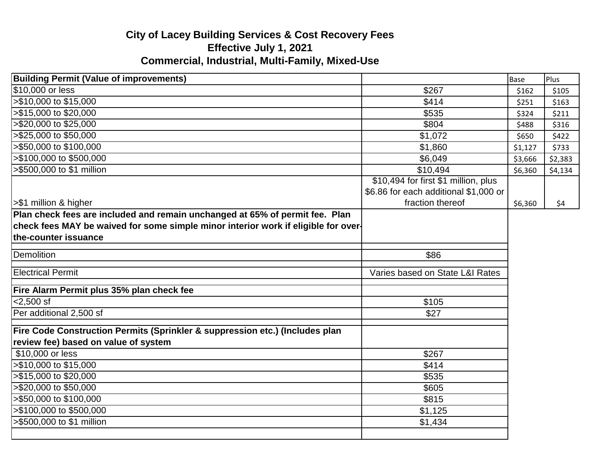## **City of Lacey Building Services & Cost Recovery Fees Effective July 1, 2021 Commercial, Industrial, Multi-Family, Mixed-Use**

| <b>Building Permit (Value of improvements)</b>                                                                                                                                             |                                       | <b>Base</b> | Plus    |
|--------------------------------------------------------------------------------------------------------------------------------------------------------------------------------------------|---------------------------------------|-------------|---------|
| \$10,000 or less                                                                                                                                                                           | \$267                                 | \$162       | \$105   |
| >\$10,000 to \$15,000                                                                                                                                                                      | \$414                                 | \$251       | \$163   |
| >\$15,000 to \$20,000                                                                                                                                                                      | \$535                                 | \$324       | \$211   |
| >\$20,000 to \$25,000                                                                                                                                                                      | \$804                                 | \$488       | \$316   |
| >\$25,000 to \$50,000                                                                                                                                                                      | \$1,072                               | \$650       | \$422   |
| >\$50,000 to \$100,000                                                                                                                                                                     | \$1,860                               | \$1,127     | \$733   |
| >\$100,000 to \$500,000                                                                                                                                                                    | \$6,049                               | \$3,666     | \$2,383 |
| >\$500,000 to \$1 million                                                                                                                                                                  | \$10,494                              | \$6,360     | \$4,134 |
|                                                                                                                                                                                            | \$10,494 for first \$1 million, plus  |             |         |
|                                                                                                                                                                                            | \$6.86 for each additional \$1,000 or |             |         |
| >\$1 million & higher                                                                                                                                                                      | fraction thereof                      | \$6,360     | \$4     |
| Plan check fees are included and remain unchanged at 65% of permit fee. Plan<br>check fees MAY be waived for some simple minor interior work if eligible for over-<br>the-counter issuance |                                       |             |         |
| <b>Demolition</b>                                                                                                                                                                          | \$86                                  |             |         |
| <b>Electrical Permit</b>                                                                                                                                                                   | Varies based on State L&I Rates       |             |         |
| Fire Alarm Permit plus 35% plan check fee                                                                                                                                                  |                                       |             |         |
| $< 2,500$ sf                                                                                                                                                                               | \$105                                 |             |         |
| Per additional 2,500 sf                                                                                                                                                                    | \$27                                  |             |         |
| Fire Code Construction Permits (Sprinkler & suppression etc.) (Includes plan<br>review fee) based on value of system                                                                       |                                       |             |         |
| \$10,000 or less                                                                                                                                                                           | \$267                                 |             |         |
| >\$10,000 to \$15,000                                                                                                                                                                      | \$414                                 |             |         |
| >\$15,000 to \$20,000                                                                                                                                                                      | \$535                                 |             |         |
| >\$20,000 to \$50,000                                                                                                                                                                      | \$605                                 |             |         |
| >\$50,000 to \$100,000                                                                                                                                                                     | \$815                                 |             |         |
| >\$100,000 to \$500,000                                                                                                                                                                    | \$1,125                               |             |         |
| >\$500,000 to \$1 million                                                                                                                                                                  | \$1,434                               |             |         |
|                                                                                                                                                                                            |                                       |             |         |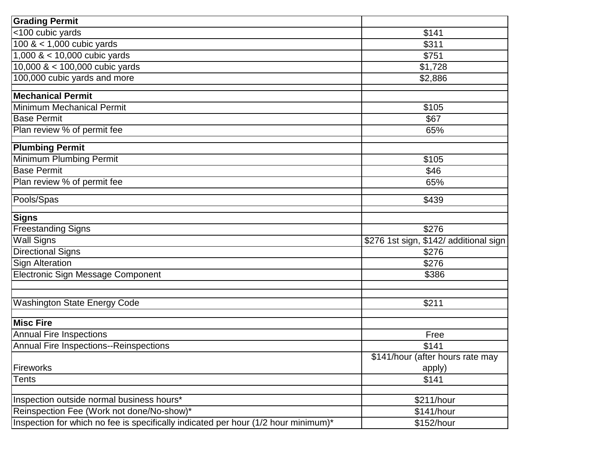| <b>Grading Permit</b>                                                              |                                        |
|------------------------------------------------------------------------------------|----------------------------------------|
| <100 cubic yards                                                                   | \$141                                  |
| $100 \< 1,000$ cubic yards                                                         | \$311                                  |
| $1,000 \< 10,000$ cubic yards                                                      | \$751                                  |
| 10,000 $<$ 100,000 cubic yards                                                     | \$1,728                                |
| 100,000 cubic yards and more                                                       | \$2,886                                |
| <b>Mechanical Permit</b>                                                           |                                        |
| <b>Minimum Mechanical Permit</b>                                                   | \$105                                  |
| <b>Base Permit</b>                                                                 | \$67                                   |
| Plan review % of permit fee                                                        | 65%                                    |
| <b>Plumbing Permit</b>                                                             |                                        |
| Minimum Plumbing Permit                                                            | \$105                                  |
| <b>Base Permit</b>                                                                 | \$46                                   |
| Plan review % of permit fee                                                        | 65%                                    |
| Pools/Spas                                                                         | \$439                                  |
| <b>Signs</b>                                                                       |                                        |
| <b>Freestanding Signs</b>                                                          | \$276                                  |
| <b>Wall Signs</b>                                                                  | \$276 1st sign, \$142/ additional sign |
| <b>Directional Signs</b>                                                           | \$276                                  |
| <b>Sign Alteration</b>                                                             | \$276                                  |
| Electronic Sign Message Component                                                  | \$386                                  |
| <b>Washington State Energy Code</b>                                                | \$211                                  |
|                                                                                    |                                        |
| <b>Misc Fire</b>                                                                   |                                        |
| <b>Annual Fire Inspections</b>                                                     | Free                                   |
| Annual Fire Inspections--Reinspections                                             | \$141                                  |
|                                                                                    | \$141/hour (after hours rate may       |
| Fireworks                                                                          | apply)                                 |
| Tents                                                                              | \$141                                  |
| Inspection outside normal business hours*                                          | \$211/hour                             |
| Reinspection Fee (Work not done/No-show)*                                          | \$141/hour                             |
| Inspection for which no fee is specifically indicated per hour (1/2 hour minimum)* | \$152/hour                             |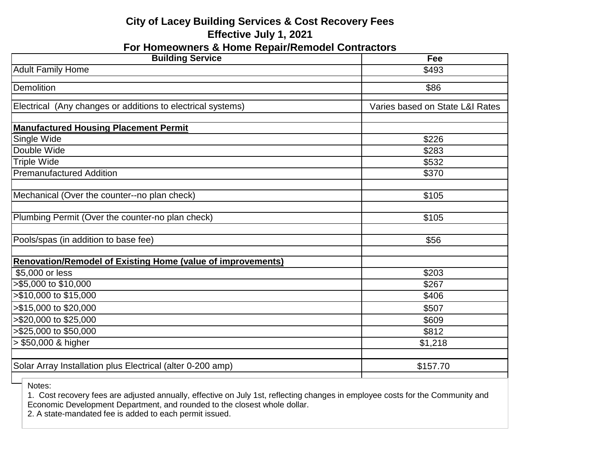## **City of Lacey Building Services & Cost Recovery Fees Effective July 1, 2021**

**For Homeowners & Home Repair/Remodel Contractors**

| <b>Building Service</b>                                            | Fee                             |
|--------------------------------------------------------------------|---------------------------------|
| <b>Adult Family Home</b>                                           | \$493                           |
| Demolition                                                         | \$86                            |
| Electrical (Any changes or additions to electrical systems)        | Varies based on State L&I Rates |
| <b>Manufactured Housing Placement Permit</b>                       |                                 |
| Single Wide                                                        | \$226                           |
| Double Wide                                                        | \$283                           |
| <b>Triple Wide</b>                                                 | \$532                           |
| <b>Premanufactured Addition</b>                                    | \$370                           |
| Mechanical (Over the counter--no plan check)                       | \$105                           |
| Plumbing Permit (Over the counter-no plan check)                   | \$105                           |
| Pools/spas (in addition to base fee)                               | \$56                            |
| <b>Renovation/Remodel of Existing Home (value of improvements)</b> |                                 |
| \$5,000 or less                                                    | \$203                           |
| >\$5,000 to \$10,000                                               | \$267                           |
| >\$10,000 to \$15,000                                              | \$406                           |
| >\$15,000 to \$20,000                                              | \$507                           |
| >\$20,000 to \$25,000                                              | \$609                           |
| >\$25,000 to \$50,000                                              | \$812                           |
| > \$50,000 & higher                                                | \$1,218                         |
|                                                                    |                                 |
| Solar Array Installation plus Electrical (alter 0-200 amp)         | \$157.70                        |

Notes:

1. Cost recovery fees are adjusted annually, effective on July 1st, reflecting changes in employee costs for the Community and Economic Development Department, and rounded to the closest whole dollar.

2. A state-mandated fee is added to each permit issued.